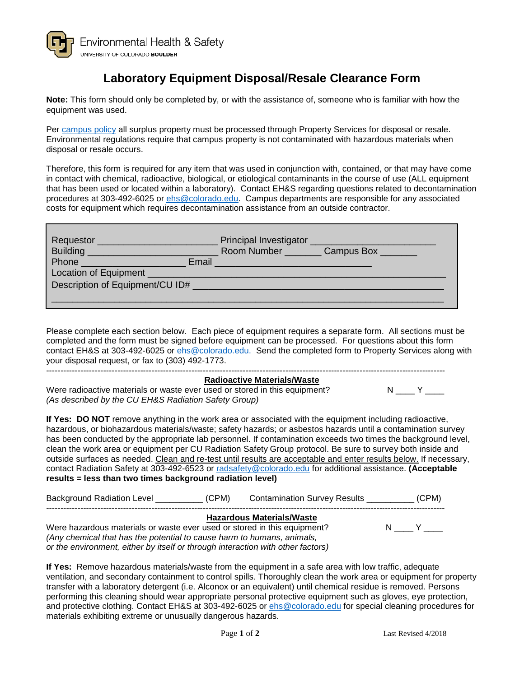

## **Laboratory Equipment Disposal/Resale Clearance Form**

**Note:** This form should only be completed by, or with the assistance of, someone who is familiar with how the equipment was used.

Per [campus policy](https://www.colorado.edu/policies/surplus-property) all surplus property must be processed through Property Services for disposal or resale. Environmental regulations require that campus property is not contaminated with hazardous materials when disposal or resale occurs.

Therefore, this form is required for any item that was used in conjunction with, contained, or that may have come in contact with chemical, radioactive, biological, or etiological contaminants in the course of use (ALL equipment that has been used or located within a laboratory). Contact EH&S regarding questions related to decontamination procedures at 303-492-6025 or [ehs@colorado.edu.](mailto:ehs@colorado.edu) Campus departments are responsible for any associated costs for equipment which requires decontamination assistance from an outside contractor.

| Building                        | Room Number Campus Box |
|---------------------------------|------------------------|
| Email<br>Phone Phone            |                        |
| Description of Equipment/CU ID# |                        |
|                                 |                        |

Please complete each section below. Each piece of equipment requires a separate form. All sections must be completed and the form must be signed before equipment can be processed. For questions about this form contact EH&S at 303-492-6025 or [ehs@colorado.edu.](mailto:ehs@colorado.edu) Send the completed form to Property Services along with your disposal request, or fax to (303) 492-1773. --------------------------------------------------------------------------------------------------------------------------------------------

## **Radioactive Materials/Waste** Were radioactive materials or waste ever used or stored in this equipment? N N Y *(As described by the CU EH&S Radiation Safety Group)*

**If Yes: DO NOT** remove anything in the work area or associated with the equipment including radioactive, hazardous, or biohazardous materials/waste; safety hazards; or asbestos hazards until a contamination survey has been conducted by the appropriate lab personnel. If contamination exceeds two times the background level, clean the work area or equipment per CU Radiation Safety Group protocol. Be sure to survey both inside and outside surfaces as needed. Clean and re-test until results are acceptable and enter results below. If necessary, contact Radiation Safety at 303-492-6523 or [radsafety@colorado.edu](mailto:radsafety@colorado.edu) for additional assistance. **(Acceptable results = less than two times background radiation level)**

| <b>Background Radiation Level</b>                                                                                                                  | (CPM) | <b>Contamination Survey Results</b> | (CPM) |
|----------------------------------------------------------------------------------------------------------------------------------------------------|-------|-------------------------------------|-------|
| Were hazardous materials or waste ever used or stored in this equipment?<br>(Any chemical that has the potential to cause harm to humans, animals, |       | <b>Hazardous Materials/Waste</b>    |       |

*or the environment, either by itself or through interaction with other factors)*

**If Yes:** Remove hazardous materials/waste from the equipment in a safe area with low traffic, adequate ventilation, and secondary containment to control spills. Thoroughly clean the work area or equipment for property transfer with a laboratory detergent (i.e. Alconox or an equivalent) until chemical residue is removed. Persons performing this cleaning should wear appropriate personal protective equipment such as gloves, eye protection, and protective clothing. Contact EH&S at 303-492-6025 or [ehs@colorado.edu](mailto:ehs@colorado.edu) for special cleaning procedures for materials exhibiting extreme or unusually dangerous hazards.